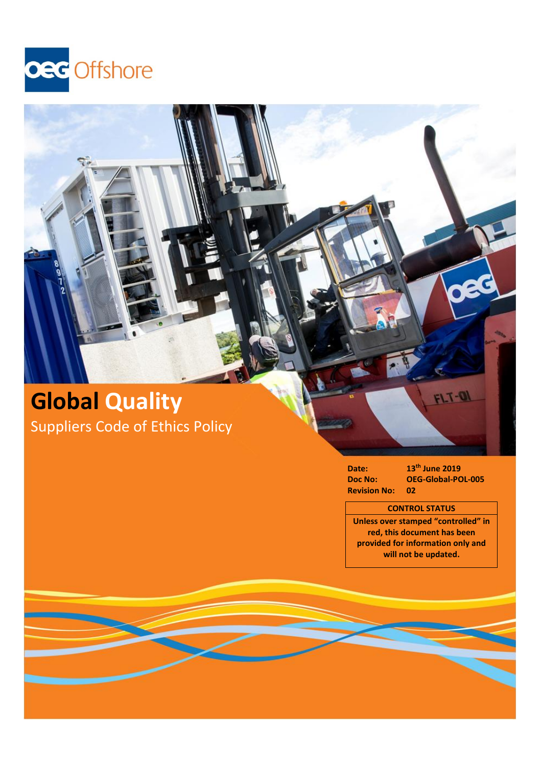

# **Global Quality** Suppliers Code of Ethics Policy

## **Date: 13<sup>th</sup> June 2019**<br>**Doc No: OEG-Global-PC Doc No: OEG-Global-POL-005 Revision No: 02**

# **CONTROL STATUS**

**Unless over stamped "controlled" in red, this document has been provided for information only and will not be updated.**

FLT-OI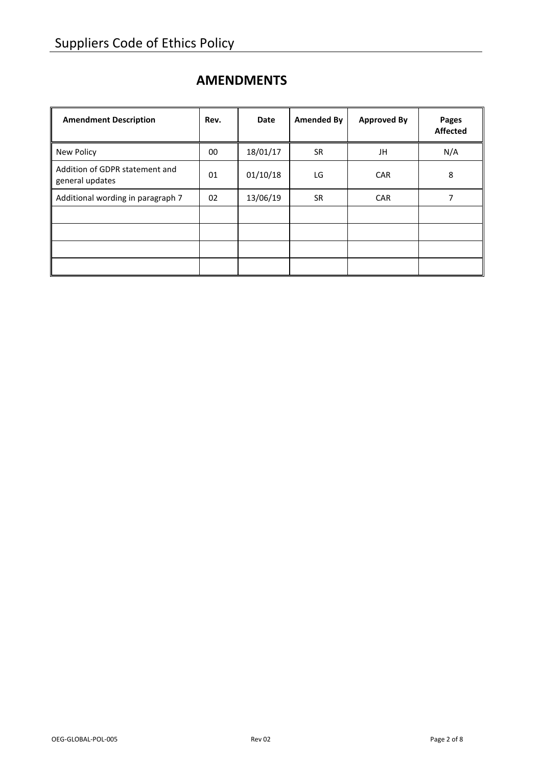# **AMENDMENTS**

| <b>Amendment Description</b>                      | Rev. | <b>Date</b> | <b>Amended By</b> | <b>Approved By</b> | Pages<br><b>Affected</b> |
|---------------------------------------------------|------|-------------|-------------------|--------------------|--------------------------|
| New Policy                                        | 00   | 18/01/17    | SR.               | JH                 | N/A                      |
| Addition of GDPR statement and<br>general updates | 01   | 01/10/18    | LG                | <b>CAR</b>         | 8                        |
| Additional wording in paragraph 7                 | 02   | 13/06/19    | <b>SR</b>         | <b>CAR</b>         | 7                        |
|                                                   |      |             |                   |                    |                          |
|                                                   |      |             |                   |                    |                          |
|                                                   |      |             |                   |                    |                          |
|                                                   |      |             |                   |                    |                          |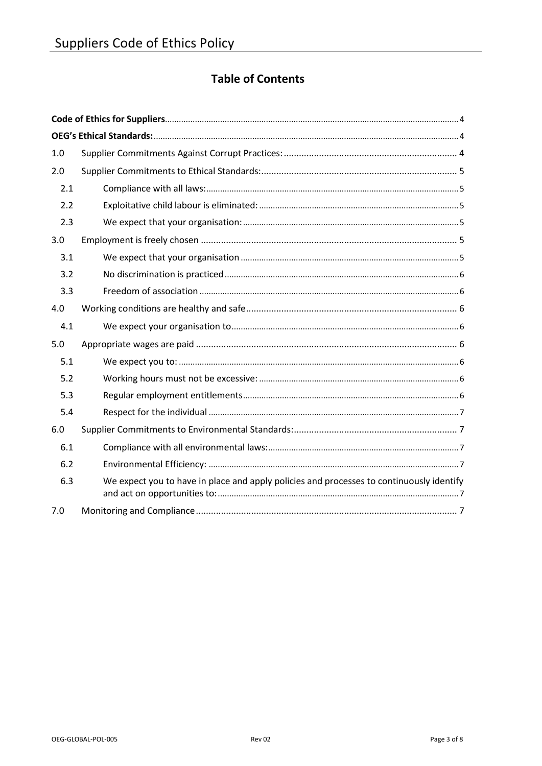# **Table of Contents**

| 1.0 |                                                                                          |  |  |  |  |
|-----|------------------------------------------------------------------------------------------|--|--|--|--|
| 2.0 |                                                                                          |  |  |  |  |
| 2.1 |                                                                                          |  |  |  |  |
| 2.2 |                                                                                          |  |  |  |  |
| 2.3 |                                                                                          |  |  |  |  |
| 3.0 |                                                                                          |  |  |  |  |
| 3.1 |                                                                                          |  |  |  |  |
| 3.2 |                                                                                          |  |  |  |  |
| 3.3 |                                                                                          |  |  |  |  |
| 4.0 |                                                                                          |  |  |  |  |
| 4.1 |                                                                                          |  |  |  |  |
| 5.0 |                                                                                          |  |  |  |  |
| 5.1 |                                                                                          |  |  |  |  |
| 5.2 |                                                                                          |  |  |  |  |
| 5.3 |                                                                                          |  |  |  |  |
| 5.4 |                                                                                          |  |  |  |  |
| 6.0 |                                                                                          |  |  |  |  |
| 6.1 |                                                                                          |  |  |  |  |
| 6.2 |                                                                                          |  |  |  |  |
| 6.3 | We expect you to have in place and apply policies and processes to continuously identify |  |  |  |  |
| 7.0 |                                                                                          |  |  |  |  |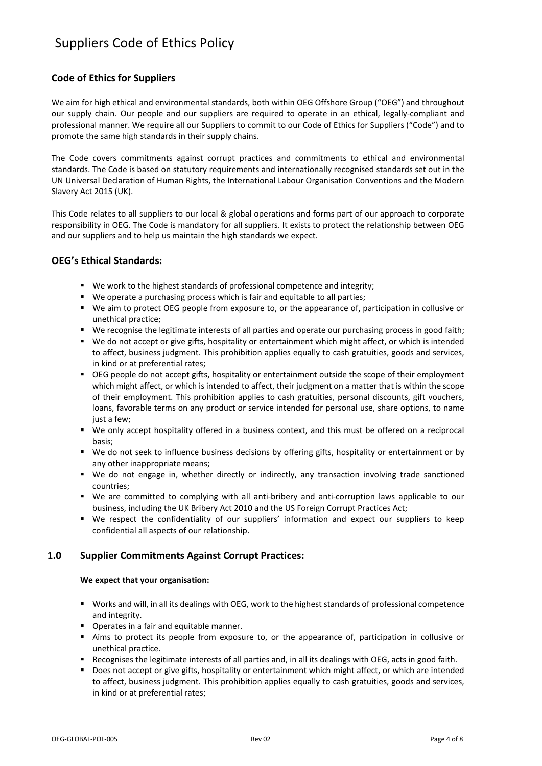# <span id="page-3-0"></span>**Code of Ethics for Suppliers**

We aim for high ethical and environmental standards, both within OEG Offshore Group ("OEG") and throughout our supply chain. Our people and our suppliers are required to operate in an ethical, legally-compliant and professional manner. We require all our Suppliers to commit to our Code of Ethics for Suppliers ("Code") and to promote the same high standards in their supply chains.

The Code covers commitments against corrupt practices and commitments to ethical and environmental standards. The Code is based on statutory requirements and internationally recognised standards set out in the UN Universal Declaration of Human Rights, the International Labour Organisation Conventions and the Modern Slavery Act 2015 (UK).

This Code relates to all suppliers to our local & global operations and forms part of our approach to corporate responsibility in OEG. The Code is mandatory for all suppliers. It exists to protect the relationship between OEG and our suppliers and to help us maintain the high standards we expect.

# <span id="page-3-1"></span>**OEG's Ethical Standards:**

- We work to the highest standards of professional competence and integrity;
- We operate a purchasing process which is fair and equitable to all parties;
- We aim to protect OEG people from exposure to, or the appearance of, participation in collusive or unethical practice;
- We recognise the legitimate interests of all parties and operate our purchasing process in good faith;
- We do not accept or give gifts, hospitality or entertainment which might affect, or which is intended to affect, business judgment. This prohibition applies equally to cash gratuities, goods and services, in kind or at preferential rates;
- OEG people do not accept gifts, hospitality or entertainment outside the scope of their employment which might affect, or which is intended to affect, their judgment on a matter that is within the scope of their employment. This prohibition applies to cash gratuities, personal discounts, gift vouchers, loans, favorable terms on any product or service intended for personal use, share options, to name just a few;
- We only accept hospitality offered in a business context, and this must be offered on a reciprocal basis;
- We do not seek to influence business decisions by offering gifts, hospitality or entertainment or by any other inappropriate means;
- We do not engage in, whether directly or indirectly, any transaction involving trade sanctioned countries;
- We are committed to complying with all anti-bribery and anti-corruption laws applicable to our business, including the UK Bribery Act 2010 and the US Foreign Corrupt Practices Act;
- We respect the confidentiality of our suppliers' information and expect our suppliers to keep confidential all aspects of our relationship.

# <span id="page-3-2"></span>**1.0 Supplier Commitments Against Corrupt Practices:**

#### **We expect that your organisation:**

- Works and will, in all its dealings with OEG, work to the highest standards of professional competence and integrity.
- **•** Operates in a fair and equitable manner.
- Aims to protect its people from exposure to, or the appearance of, participation in collusive or unethical practice.
- Recognises the legitimate interests of all parties and, in all its dealings with OEG, acts in good faith.
- Does not accept or give gifts, hospitality or entertainment which might affect, or which are intended to affect, business judgment. This prohibition applies equally to cash gratuities, goods and services, in kind or at preferential rates;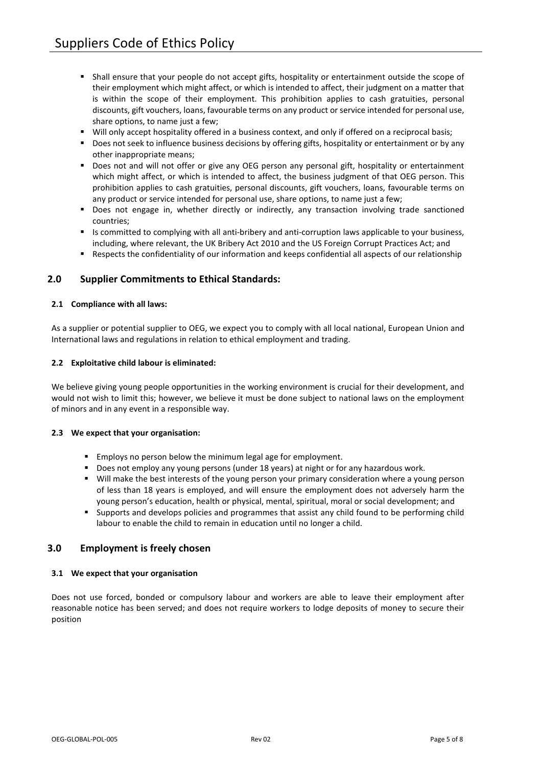- Shall ensure that your people do not accept gifts, hospitality or entertainment outside the scope of their employment which might affect, or which is intended to affect, their judgment on a matter that is within the scope of their employment. This prohibition applies to cash gratuities, personal discounts, gift vouchers, loans, favourable terms on any product or service intended for personal use, share options, to name just a few;
- Will only accept hospitality offered in a business context, and only if offered on a reciprocal basis;
- **•** Does not seek to influence business decisions by offering gifts, hospitality or entertainment or by any other inappropriate means;
- **Does not and will not offer or give any OEG person any personal gift, hospitality or entertainment** which might affect, or which is intended to affect, the business judgment of that OEG person. This prohibition applies to cash gratuities, personal discounts, gift vouchers, loans, favourable terms on any product or service intended for personal use, share options, to name just a few;
- Does not engage in, whether directly or indirectly, any transaction involving trade sanctioned countries;
- Is committed to complying with all anti-bribery and anti-corruption laws applicable to your business, including, where relevant, the UK Bribery Act 2010 and the US Foreign Corrupt Practices Act; and
- Respects the confidentiality of our information and keeps confidential all aspects of our relationship

# <span id="page-4-0"></span>**2.0 Supplier Commitments to Ethical Standards:**

#### <span id="page-4-1"></span>**2.1 Compliance with all laws:**

As a supplier or potential supplier to OEG, we expect you to comply with all local national, European Union and International laws and regulations in relation to ethical employment and trading.

#### <span id="page-4-2"></span>**2.2 Exploitative child labour is eliminated:**

We believe giving young people opportunities in the working environment is crucial for their development, and would not wish to limit this; however, we believe it must be done subject to national laws on the employment of minors and in any event in a responsible way.

#### <span id="page-4-3"></span>**2.3 We expect that your organisation:**

- **Employs no person below the minimum legal age for employment.**
- **Does not employ any young persons (under 18 years) at night or for any hazardous work.**
- Will make the best interests of the young person your primary consideration where a young person of less than 18 years is employed, and will ensure the employment does not adversely harm the young person's education, health or physical, mental, spiritual, moral or social development; and
- Supports and develops policies and programmes that assist any child found to be performing child labour to enable the child to remain in education until no longer a child.

## <span id="page-4-4"></span>**3.0 Employment is freely chosen**

#### <span id="page-4-5"></span>**3.1 We expect that your organisation**

<span id="page-4-6"></span>Does not use forced, bonded or compulsory labour and workers are able to leave their employment after reasonable notice has been served; and does not require workers to lodge deposits of money to secure their position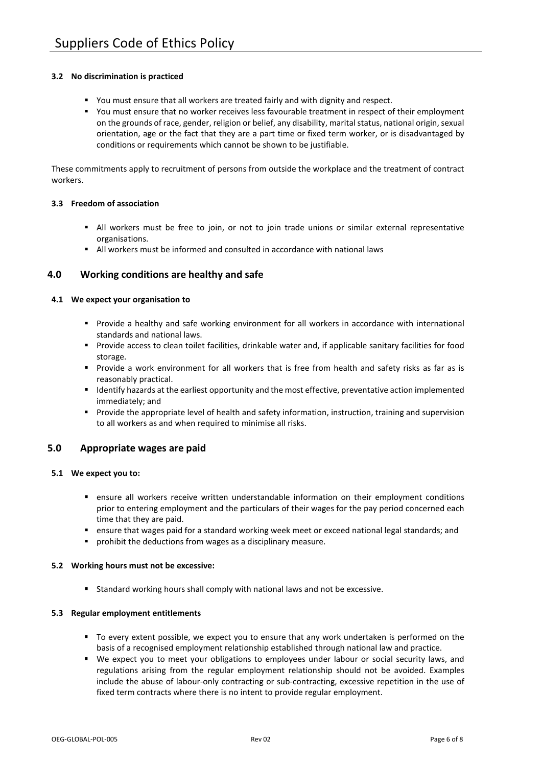#### **3.2 No discrimination is practiced**

- You must ensure that all workers are treated fairly and with dignity and respect.
- You must ensure that no worker receives less favourable treatment in respect of their employment on the grounds of race, gender, religion or belief, any disability, marital status, national origin, sexual orientation, age or the fact that they are a part time or fixed term worker, or is disadvantaged by conditions or requirements which cannot be shown to be justifiable.

These commitments apply to recruitment of persons from outside the workplace and the treatment of contract workers.

#### <span id="page-5-0"></span>**3.3 Freedom of association**

- All workers must be free to join, or not to join trade unions or similar external representative organisations.
- All workers must be informed and consulted in accordance with national laws

# <span id="page-5-1"></span>**4.0 Working conditions are healthy and safe**

#### <span id="page-5-2"></span>**4.1 We expect your organisation to**

- Provide a healthy and safe working environment for all workers in accordance with international standards and national laws.
- Provide access to clean toilet facilities, drinkable water and, if applicable sanitary facilities for food storage.
- Provide a work environment for all workers that is free from health and safety risks as far as is reasonably practical.
- Identify hazards at the earliest opportunity and the most effective, preventative action implemented immediately; and
- Provide the appropriate level of health and safety information, instruction, training and supervision to all workers as and when required to minimise all risks.

## <span id="page-5-3"></span>**5.0 Appropriate wages are paid**

#### <span id="page-5-4"></span>**5.1 We expect you to:**

- ensure all workers receive written understandable information on their employment conditions prior to entering employment and the particulars of their wages for the pay period concerned each time that they are paid.
- ensure that wages paid for a standard working week meet or exceed national legal standards; and
- prohibit the deductions from wages as a disciplinary measure.

#### <span id="page-5-5"></span>**5.2 Working hours must not be excessive:**

**Standard working hours shall comply with national laws and not be excessive.** 

#### <span id="page-5-6"></span>**5.3 Regular employment entitlements**

- To every extent possible, we expect you to ensure that any work undertaken is performed on the basis of a recognised employment relationship established through national law and practice.
- <span id="page-5-7"></span> We expect you to meet your obligations to employees under labour or social security laws, and regulations arising from the regular employment relationship should not be avoided. Examples include the abuse of labour-only contracting or sub-contracting, excessive repetition in the use of fixed term contracts where there is no intent to provide regular employment.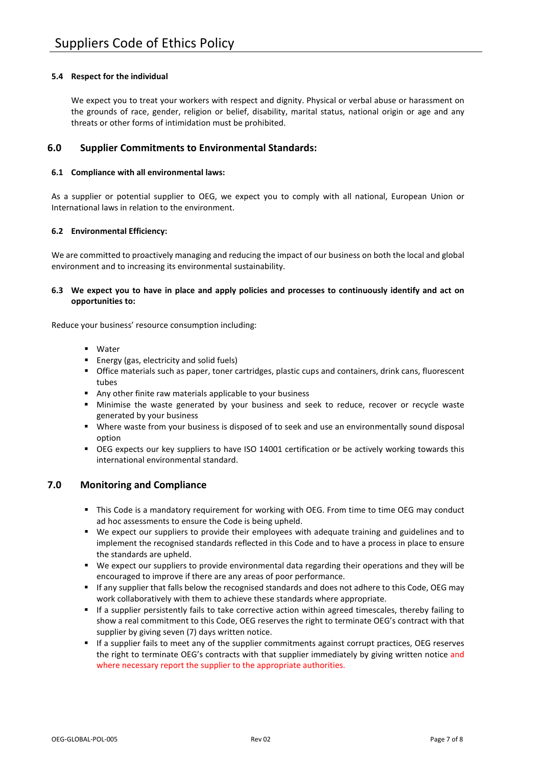#### **5.4 Respect for the individual**

We expect you to treat your workers with respect and dignity. Physical or verbal abuse or harassment on the grounds of race, gender, religion or belief, disability, marital status, national origin or age and any threats or other forms of intimidation must be prohibited.

# <span id="page-6-0"></span>**6.0 Supplier Commitments to Environmental Standards:**

#### <span id="page-6-1"></span>**6.1 Compliance with all environmental laws:**

As a supplier or potential supplier to OEG, we expect you to comply with all national, European Union or International laws in relation to the environment.

#### <span id="page-6-2"></span>**6.2 Environmental Efficiency:**

We are committed to proactively managing and reducing the impact of our business on both the local and global environment and to increasing its environmental sustainability.

#### <span id="page-6-3"></span>**6.3 We expect you to have in place and apply policies and processes to continuously identify and act on opportunities to:**

Reduce your business' resource consumption including:

- Water
- **Energy (gas, electricity and solid fuels)**
- Office materials such as paper, toner cartridges, plastic cups and containers, drink cans, fluorescent tubes
- Any other finite raw materials applicable to your business
- Minimise the waste generated by your business and seek to reduce, recover or recycle waste generated by your business
- Where waste from your business is disposed of to seek and use an environmentally sound disposal option
- OEG expects our key suppliers to have ISO 14001 certification or be actively working towards this international environmental standard.

## <span id="page-6-4"></span>**7.0 Monitoring and Compliance**

- This Code is a mandatory requirement for working with OEG. From time to time OEG may conduct ad hoc assessments to ensure the Code is being upheld.
- We expect our suppliers to provide their employees with adequate training and guidelines and to implement the recognised standards reflected in this Code and to have a process in place to ensure the standards are upheld.
- We expect our suppliers to provide environmental data regarding their operations and they will be encouraged to improve if there are any areas of poor performance.
- If any supplier that falls below the recognised standards and does not adhere to this Code, OEG may work collaboratively with them to achieve these standards where appropriate.
- If a supplier persistently fails to take corrective action within agreed timescales, thereby failing to show a real commitment to this Code, OEG reserves the right to terminate OEG's contract with that supplier by giving seven (7) days written notice.
- If a supplier fails to meet any of the supplier commitments against corrupt practices, OEG reserves the right to terminate OEG's contracts with that supplier immediately by giving written notice and where necessary report the supplier to the appropriate authorities.